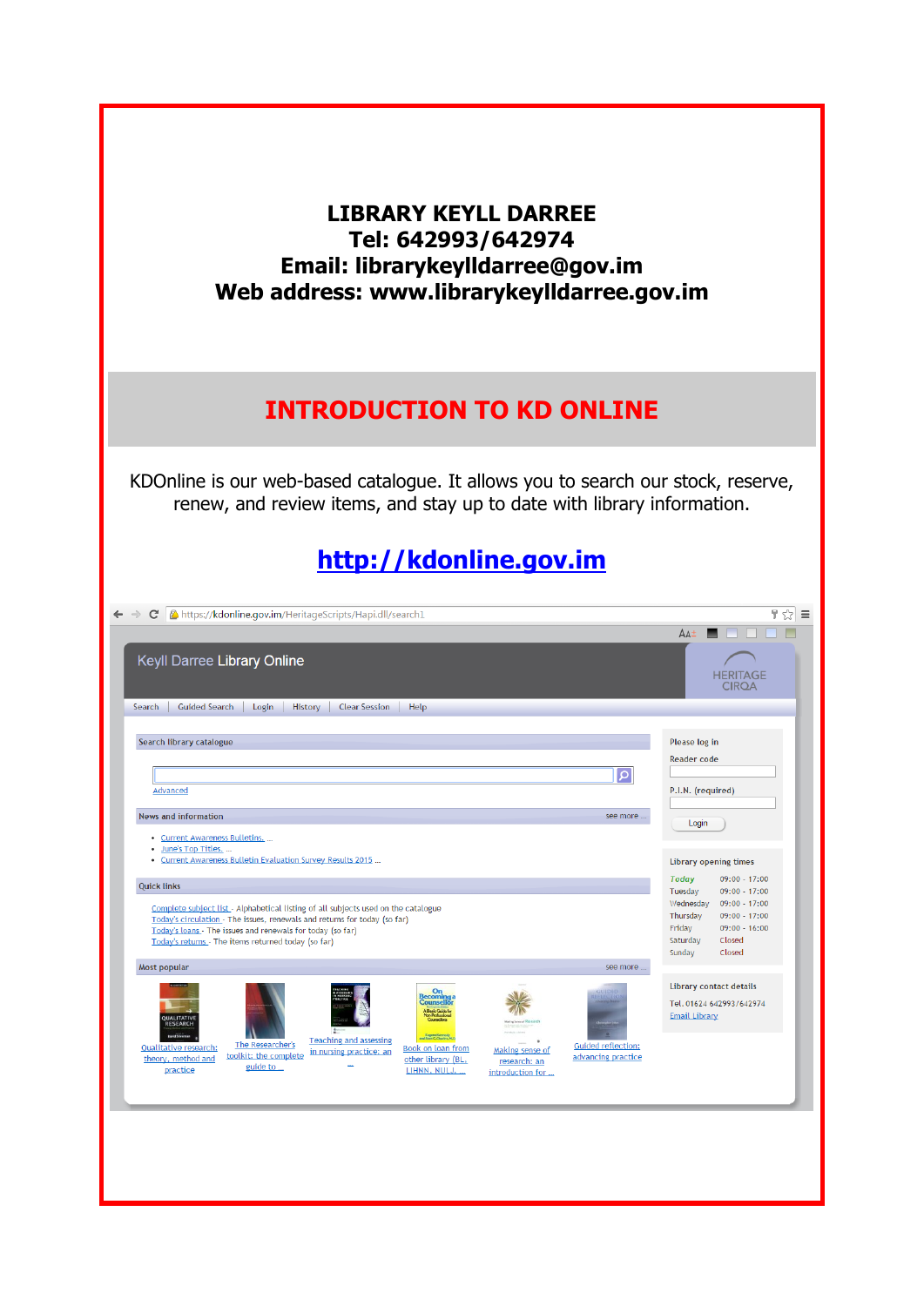| <b>LIBRARY KEYLL DARREE</b><br>Tel: 642993/642974<br>Email: librarykeylldarree@gov.im<br>Web address: www.librarykeylldarree.gov.im                                                                                                                                                                                                                                                       |                                                                                                                                                                                               |
|-------------------------------------------------------------------------------------------------------------------------------------------------------------------------------------------------------------------------------------------------------------------------------------------------------------------------------------------------------------------------------------------|-----------------------------------------------------------------------------------------------------------------------------------------------------------------------------------------------|
| <b>INTRODUCTION TO KD ONLINE</b>                                                                                                                                                                                                                                                                                                                                                          |                                                                                                                                                                                               |
| KDOnline is our web-based catalogue. It allows you to search our stock, reserve,<br>renew, and review items, and stay up to date with library information.<br>http://kdonline.gov.im                                                                                                                                                                                                      |                                                                                                                                                                                               |
| ← → C   A https://kdonline.gov.im/HeritageScripts/Hapi.dll/search1                                                                                                                                                                                                                                                                                                                        | 무 숬                                                                                                                                                                                           |
|                                                                                                                                                                                                                                                                                                                                                                                           | $AA^{\pm}$                                                                                                                                                                                    |
| Keyll Darree Library Online<br>History<br>Search<br><b>Guided Search</b><br>Login<br><b>Clear Session</b><br>Help                                                                                                                                                                                                                                                                         | <b>HERITAGE</b><br>CIROA                                                                                                                                                                      |
| Search library catalogue                                                                                                                                                                                                                                                                                                                                                                  | Please log in<br><b>Reader code</b>                                                                                                                                                           |
| $\circ$<br>Advanced                                                                                                                                                                                                                                                                                                                                                                       | P.I.N. (required)                                                                                                                                                                             |
| <b>News and information</b><br>see more                                                                                                                                                                                                                                                                                                                                                   |                                                                                                                                                                                               |
| • Current Awareness Bulletins.<br>June's Top Titles<br>Current Awareness Bulletin Evaluation Survey Results 2015                                                                                                                                                                                                                                                                          | Login<br><b>Library opening times</b>                                                                                                                                                         |
| <b>Quick links</b><br>Complete subject list - Alphabetical listing of all subjects used on the catalogue<br>Today's circulation - The issues, renewals and returns for today (so far)<br>Today's loans - The issues and renewals for today (so far)<br>Today's returns - The items returned today (so far)<br>Most popular<br>see more                                                    | <b>Today</b><br>09:00 - 17:00<br>Tuesday<br>$09:00 - 17:00$<br>Wednesday<br>09:00 - 17:00<br>Thursday<br>09:00 - 17:00<br>Friday<br>$09:00 - 16:00$<br>Closed<br>Saturday<br>Sunday<br>Closed |
| On<br>ounse<br>Eugene Kerryst<br>Teaching and assessing<br>The Researcher's<br><b>Guided reflection:</b><br><b>Qualitative research:</b><br><b>Book on loan from</b><br>Making sense of<br>in nursing practice: an<br>toolkit: the complete<br>advancing practice<br>theory, method and<br>other library (BL,<br>research: an<br>guide to<br>practice<br>LIHNN, NULJ,<br>introduction for | <b>Library contact details</b><br>Tel. 01624 642993/642974<br><b>Email Library</b>                                                                                                            |
|                                                                                                                                                                                                                                                                                                                                                                                           |                                                                                                                                                                                               |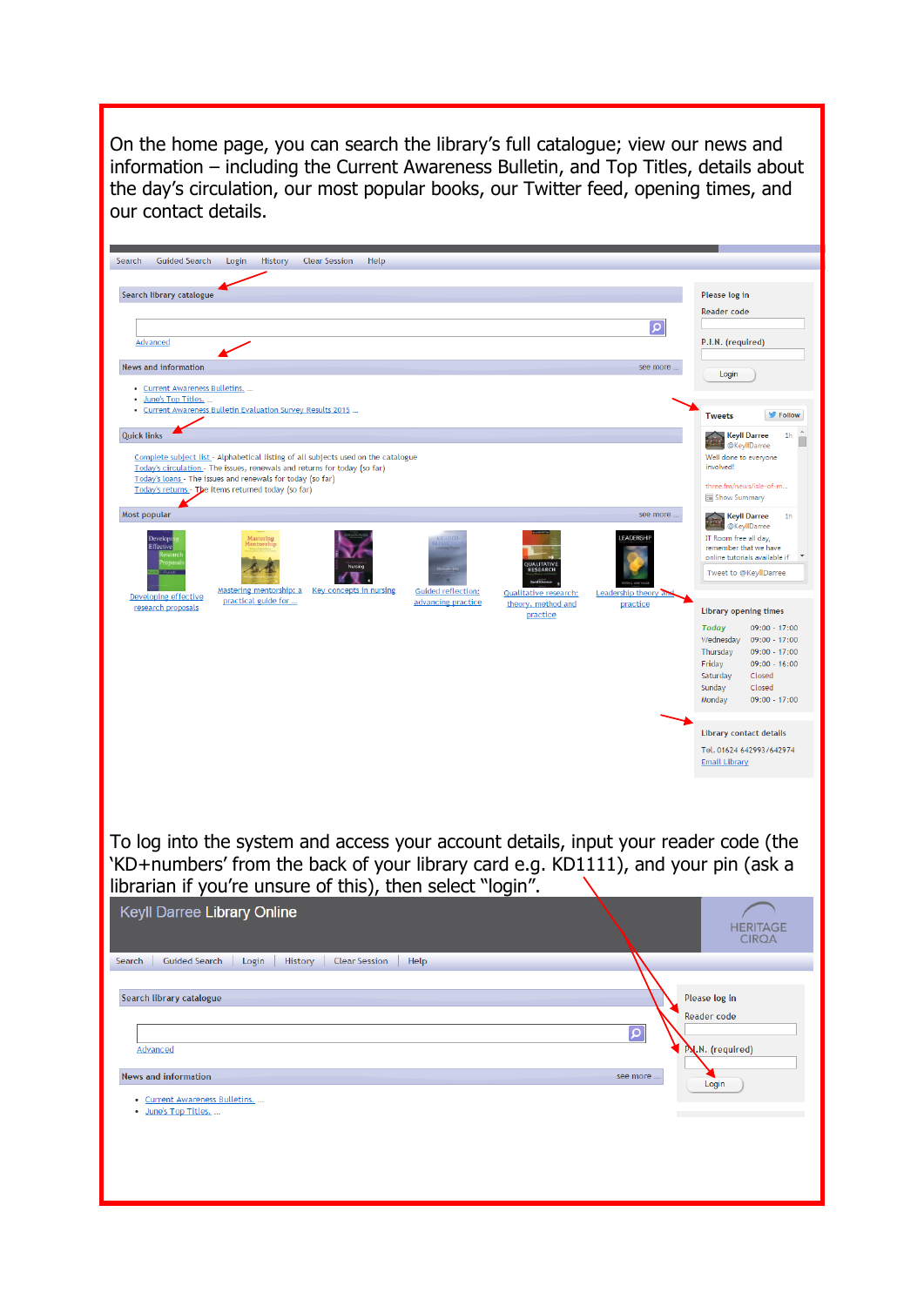On the home page, you can search the library's full catalogue; view our news and information – including the Current Awareness Bulletin, and Top Titles, details about the day's circulation, our most popular books, our Twitter feed, opening times, and our contact details.

| Login<br>History<br>Help<br>Search library catalogue<br>َ م<br>Advanced<br><b>News and information</b><br>see more.<br>• Current Awareness Bulletins.<br>· June's Top Titles.<br>Current Awareness Bulletin Evaluation Survey Results 2015                                           | Please log in<br><b>Reader code</b><br>P.I.N. (required)<br>Login<br>Follow<br><b>Tweets</b>                                                                                                       |
|--------------------------------------------------------------------------------------------------------------------------------------------------------------------------------------------------------------------------------------------------------------------------------------|----------------------------------------------------------------------------------------------------------------------------------------------------------------------------------------------------|
|                                                                                                                                                                                                                                                                                      |                                                                                                                                                                                                    |
|                                                                                                                                                                                                                                                                                      |                                                                                                                                                                                                    |
|                                                                                                                                                                                                                                                                                      |                                                                                                                                                                                                    |
|                                                                                                                                                                                                                                                                                      |                                                                                                                                                                                                    |
|                                                                                                                                                                                                                                                                                      |                                                                                                                                                                                                    |
|                                                                                                                                                                                                                                                                                      |                                                                                                                                                                                                    |
|                                                                                                                                                                                                                                                                                      |                                                                                                                                                                                                    |
| <b>Quick links</b>                                                                                                                                                                                                                                                                   | <b>Keyll Darree</b><br>1 <sub>h</sub>                                                                                                                                                              |
| Complete subject list - Alphabetical listing of all subjects used on the catalogue<br>Today's circulation - The issues, renewals and returns for today (so far)<br>Today's loans - The issues and renewals for today (so far)<br>Today's returns - The items returned today (so far) | @KeyllDarree<br>Well done to everyone<br>involved!<br>three.fm/news/isle-of-m<br>Show Summary                                                                                                      |
| Most popular<br>see more                                                                                                                                                                                                                                                             | <b>Keyll Darree</b><br>1 <sub>h</sub>                                                                                                                                                              |
| LEADERSHIP<br>Developi<br>Mastering<br>Effective<br><b>ESEARCH</b><br>Mastering mentorship: a<br><b>Key concepts in nursing</b><br><b>Guided reflection:</b><br><b>Qualitative research:</b><br>Leadership theory an                                                                 | @KeyllDarree<br>IT Room free all day,<br>remember that we have<br>online tutorials available if<br>Tweet to @KeyllDarree                                                                           |
| Developing effective<br>practical guide for<br>advancing practice<br>theory, method and<br>practice<br>research proposals<br>practice                                                                                                                                                | <b>Library opening times</b>                                                                                                                                                                       |
|                                                                                                                                                                                                                                                                                      | <b>Today</b><br>$09:00 - 17:00$<br>Wednesday<br>$09:00 - 17:00$<br>Thursday<br>$09:00 - 17:00$<br>$09:00 - 16:00$<br>Friday<br>Saturday<br>Closed<br>Sunday<br>Closed<br>Monday<br>$09:00 - 17:00$ |
|                                                                                                                                                                                                                                                                                      | <b>Library contact details</b><br>Tel. 01624 642993/642974<br><b>Email Library</b>                                                                                                                 |
| To log into the system and access your account details, input your reader code (the<br>'KD+numbers' from the back of your library card e.g. KD1111), and your pin (ask a<br>librarian if you're unsure of this), then select "login".<br>Keyll Darree Library Online                 | <b>HERITAGE</b><br><b>CIRQA</b>                                                                                                                                                                    |
| <b>Guided Search</b><br>Search<br>Login<br>History<br><b>Clear Session</b><br>Help                                                                                                                                                                                                   |                                                                                                                                                                                                    |
|                                                                                                                                                                                                                                                                                      |                                                                                                                                                                                                    |
| Search library catalogue                                                                                                                                                                                                                                                             | Please log in                                                                                                                                                                                      |
|                                                                                                                                                                                                                                                                                      | <b>Reader code</b>                                                                                                                                                                                 |
| $\vert \mathsf{q} \vert$<br><b>Advanced</b>                                                                                                                                                                                                                                          | P.N. (required)                                                                                                                                                                                    |
|                                                                                                                                                                                                                                                                                      |                                                                                                                                                                                                    |
| <b>News and information</b><br>see more                                                                                                                                                                                                                                              | Login                                                                                                                                                                                              |
| • Current Awareness Bulletins.<br>June's Top Titles.                                                                                                                                                                                                                                 |                                                                                                                                                                                                    |
|                                                                                                                                                                                                                                                                                      |                                                                                                                                                                                                    |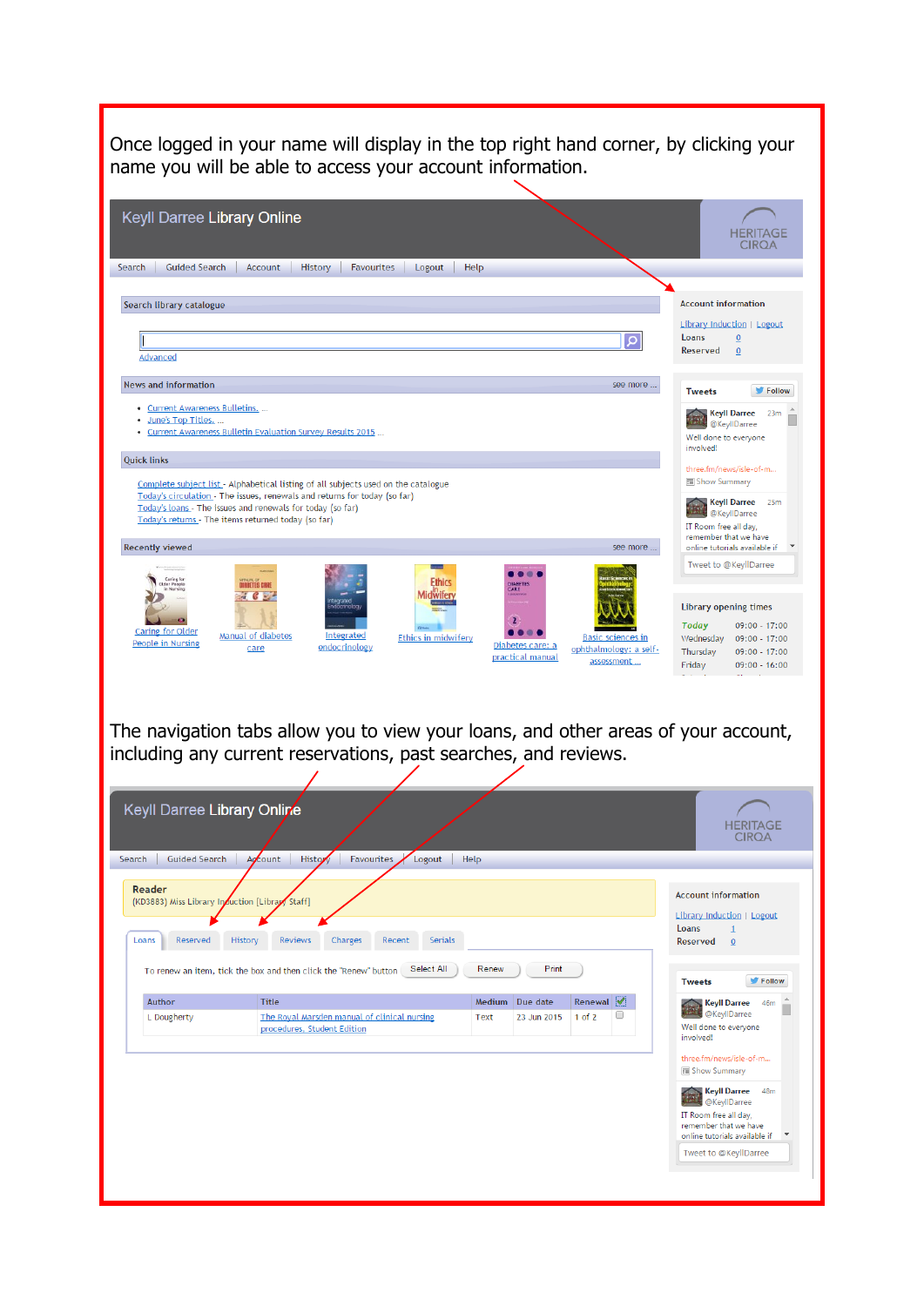| name you will be able to access your account information.                                                                          |                                                                                                                                                       |                                           |                                                                   |                                                                                                                         |
|------------------------------------------------------------------------------------------------------------------------------------|-------------------------------------------------------------------------------------------------------------------------------------------------------|-------------------------------------------|-------------------------------------------------------------------|-------------------------------------------------------------------------------------------------------------------------|
| Keyll Darree Library Online                                                                                                        |                                                                                                                                                       |                                           |                                                                   | HERITAGE<br><b>CIROA</b>                                                                                                |
| Search<br><b>Guided Search</b>                                                                                                     | Account<br>History<br>Favourites<br>Logout                                                                                                            | Help                                      |                                                                   |                                                                                                                         |
| Search library catalogue                                                                                                           |                                                                                                                                                       |                                           |                                                                   | <b>Account information</b>                                                                                              |
|                                                                                                                                    |                                                                                                                                                       |                                           |                                                                   | Library Induction   Logout                                                                                              |
| Advanced                                                                                                                           |                                                                                                                                                       |                                           | Q                                                                 | Loans<br>$\overline{0}$<br>Reserved<br>$\overline{0}$                                                                   |
| <b>News and information</b>                                                                                                        |                                                                                                                                                       |                                           | see more                                                          | Follow<br><b>Tweets</b>                                                                                                 |
| • Current Awareness Bulletins.<br>June's Top Titles.                                                                               | Current Awareness Bulletin Evaluation Survey Results 2015                                                                                             |                                           |                                                                   | <b>Keyll Darree</b><br>23 <sub>m</sub><br>@KeyllDarree<br>Well done to everyone                                         |
| <b>Quick links</b>                                                                                                                 |                                                                                                                                                       |                                           |                                                                   | involved!<br>three.fm/news/isle-of-m                                                                                    |
|                                                                                                                                    | Complete subject list - Alphabetical listing of all subjects used on the catalogue                                                                    |                                           |                                                                   | Show Summary                                                                                                            |
| Today's loans - The issues and renewals for today (so far)<br>Today's returns - The items returned today (so far)                  | Today's circulation - The issues, renewals and returns for today (so far)                                                                             |                                           |                                                                   | <b>Keyll Darree</b><br>25m<br>@KeyllDarree<br>IT Room free all day,<br>remember that we have                            |
| <b>Recently viewed</b>                                                                                                             |                                                                                                                                                       |                                           | see more.                                                         | online tutorials available if<br>Tweet to @KeyllDarree                                                                  |
|                                                                                                                                    | <b>ABETES CARE</b>                                                                                                                                    | CARE                                      |                                                                   | <b>Library opening times</b>                                                                                            |
| <b>Caring for Older</b><br>People in Nursing                                                                                       | Manual of diabetes<br>Integrated<br>Ethics in midwifery<br>endocrinology<br>care                                                                      | Diabetes care: a<br>practical manual      | <b>Basic sciences in</b><br>ophthalmology: a self-<br>assessment. | <b>Today</b><br>09:00 - 17:00<br>Wednesday<br>09:00 - 17:00<br>Thursday<br>09:00 - 17:00<br>Friday<br>$09:00 - 16:00$   |
|                                                                                                                                    | The navigation tabs allow you to view your loans, and other areas of your account,<br>including any current reservations, past searches, and reviews. |                                           |                                                                   | <b>HERITAGE</b><br><b>CIRQA</b>                                                                                         |
| <b>Guided Search</b>                                                                                                               | Account<br>Favourites<br>History<br>Logout                                                                                                            | Help                                      |                                                                   |                                                                                                                         |
| Keyll Darree Library Online<br>Search<br>Reader<br>(KD3883) Miss Library Induction [Library Staff]<br>Loans<br>Reserved<br>History | Serials<br><b>Reviews</b><br>Charges<br>Recent                                                                                                        |                                           |                                                                   | <b>Account information</b><br><b>Library Induction   Logout</b><br>Loans<br>$\mathbf{1}$<br><b>Reserved</b><br>$\Omega$ |
|                                                                                                                                    | Select All<br>To renew an item, tick the box and then click the "Renew" button                                                                        | Print<br>Renew                            |                                                                   | Follow<br><b>Tweets</b>                                                                                                 |
| Author<br>L Dougherty                                                                                                              | <b>Title</b><br>The Royal Marsden manual of clinical nursing<br>procedures, Student Edition                                                           | Due date<br>Medium<br>Text<br>23 Jun 2015 | <b>Renewal</b><br>O<br>$1$ of $2$                                 | <b>Keyll Darree</b><br>46m<br>@KeyllDarree<br>Well done to everyone<br>involved!                                        |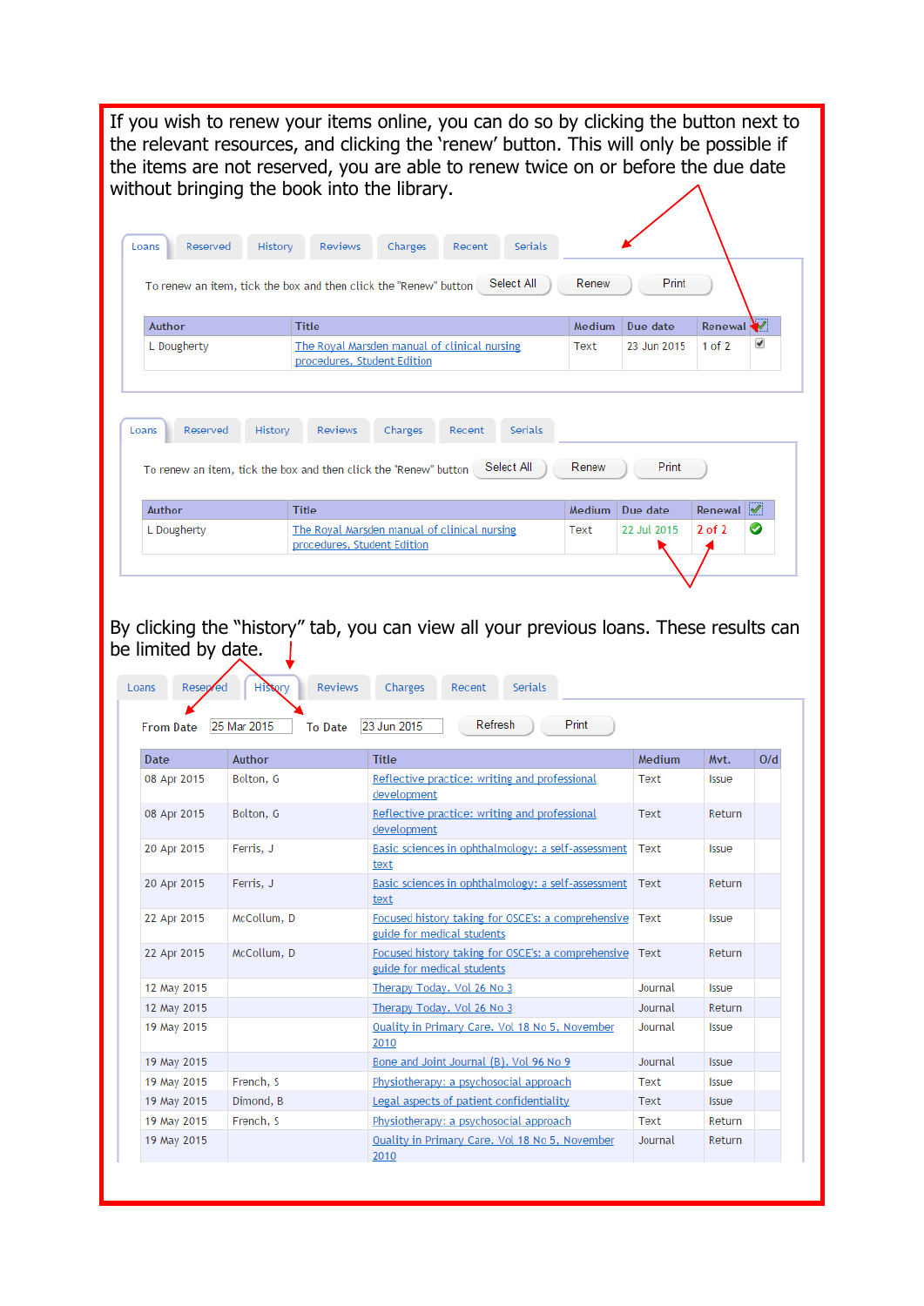If you wish to renew your items online, you can do so by clicking the button next to the relevant resources, and clicking the 'renew' button. This will only be possible if the items are not reserved, you are able to renew twice on or before the due date without bringing the book into the library.

| Author          | <b>Title</b>                                                                                   | Medium          | Due date          | Renewal <b>W</b> |
|-----------------|------------------------------------------------------------------------------------------------|-----------------|-------------------|------------------|
| L Dougherty     | The Royal Marsden manual of clinical nursing<br>procedures, Student Edition                    | Text            | 23 Jun 2015       | $1$ of $2$       |
| Reserved        | History<br><b>Reviews</b><br>Charges<br>Serials<br>Recent                                      |                 |                   |                  |
| Loans<br>Author | Select All<br>To renew an item, tick the box and then click the "Renew" button<br><b>Title</b> | Renew<br>Medium | Print<br>Due date | Renewal          |

By clicking the "history" tab, you can view all your previous loans. These results can be limited by date.  $\perp$ 

| Date        | <b>Author</b> | <b>Title</b>                                                                            | <b>Medium</b> | Mvt.         | O/d |
|-------------|---------------|-----------------------------------------------------------------------------------------|---------------|--------------|-----|
| 08 Apr 2015 | Bolton, G     | Reflective practice: writing and professional<br>development                            | Text          | <b>Issue</b> |     |
| 08 Apr 2015 | Bolton, G     | Reflective practice: writing and professional<br>development                            | Text          | Return       |     |
| 20 Apr 2015 | Ferris, J     | Basic sciences in ophthalmology: a self-assessment<br>text                              | Text          | <b>Issue</b> |     |
| 20 Apr 2015 | Ferris, J     | Basic sciences in ophthalmology: a self-assessment<br>text                              | Text          | Return       |     |
| 22 Apr 2015 | McCollum, D   | Focused history taking for OSCE's: a comprehensive<br>guide for medical students        | Text          | <b>Issue</b> |     |
| 22 Apr 2015 | McCollum, D   | Focused history taking for OSCE's: a comprehensive   Text<br>guide for medical students |               | Return       |     |
| 12 May 2015 |               | Therapy Today. Vol 26 No 3                                                              | Journal       | <b>Issue</b> |     |
| 12 May 2015 |               | Therapy Today. Vol 26 No 3                                                              | Journal       | Return       |     |
| 19 May 2015 |               | Quality in Primary Care. Vol 18 No 5, November<br>2010                                  | Journal       | <b>Issue</b> |     |
| 19 May 2015 |               | Bone and Joint Journal (B). Vol 96 No 9                                                 | Journal       | <b>Issue</b> |     |
| 19 May 2015 | French, S     | Physiotherapy: a psychosocial approach                                                  | Text          | <b>Issue</b> |     |
| 19 May 2015 | Dimond, B     | Legal aspects of patient confidentiality                                                | Text          | <b>Issue</b> |     |
| 19 May 2015 | French, S     | Physiotherapy: a psychosocial approach                                                  | Text          | Return       |     |
| 19 May 2015 |               | Quality in Primary Care. Vol 18 No 5, November<br>2010                                  | Journal       | Return       |     |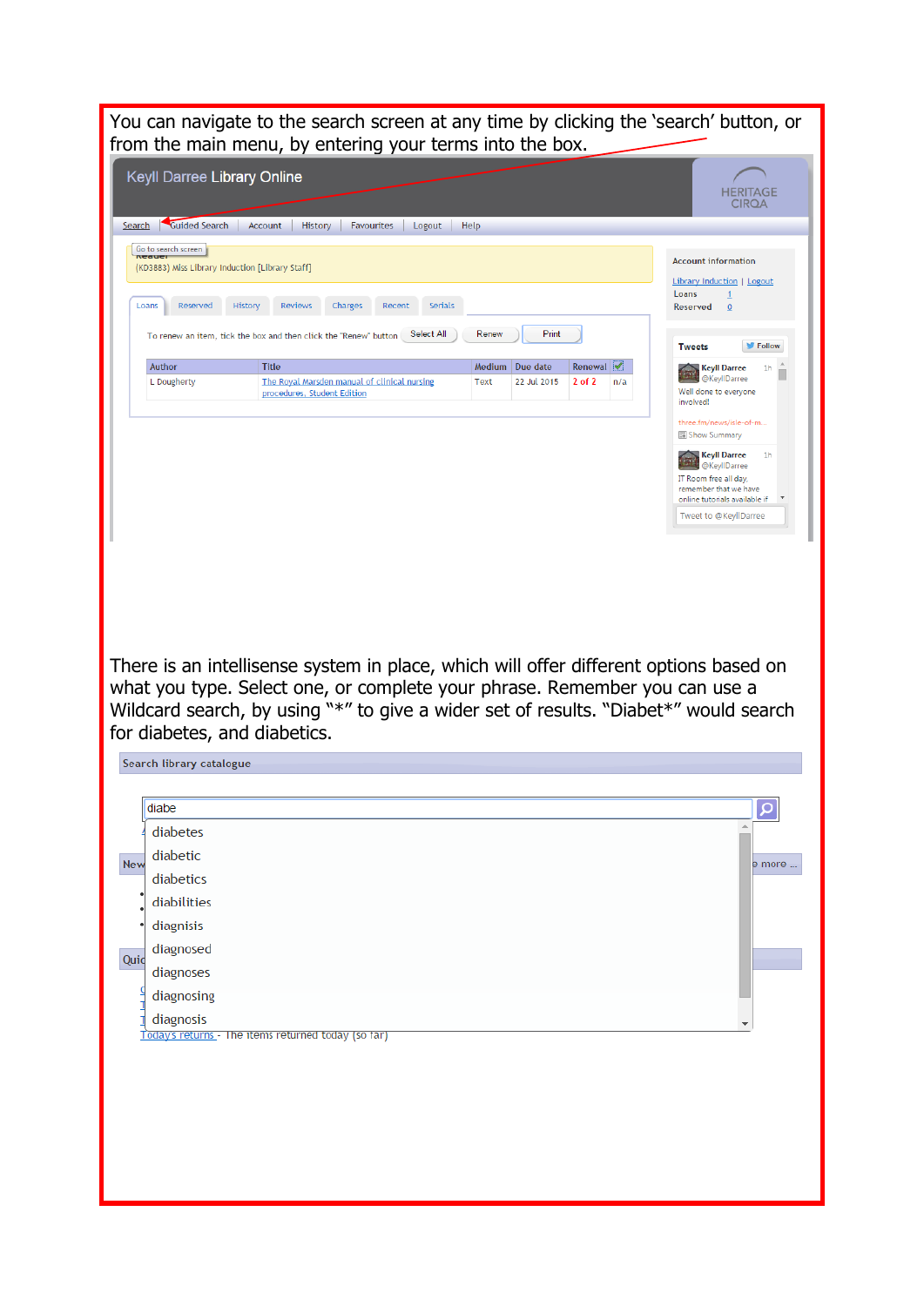You can navigate to the search screen at any time by clicking the 'search' button, or from the main menu, by entering your terms into the box. Keyll Darree Library Online **HERITAGE CIRQA** Search Guided Search | Account | History | Favourites | Logout | Help Go to search screen **Account information** (KD3883) Miss Library Induction [Library Staff] Library Induction | Logout Loans Loans Reserved History Reviews Charges Recent Serials Reserved  $\overline{0}$ To renew an item, tick the box and then click the "Renew" button Select All Renew Print **Tweets**  $\blacktriangleright$  Follow Medium Due date Renewal Author **Title** Keyll Darree 1h L Dougherty The Royal Marsden manual of clinical nursing Text 22 Jul 2015 2 of 2 n/a Well done to everyone procedures, Student Edition involved! three.fm/news/isle-of-m... **ED** Show Summary Keyll Darree  $-1<sub>h</sub>$ @KeyllDarree IT Room free all day, remember that we have online tutorials available if Tweet to @KevIIDarree There is an intellisense system in place, which will offer different options based on what you type. Select one, or complete your phrase. Remember you can use a Wildcard search, by using "\*" to give a wider set of results. "Diabet\*" would search for diabetes, and diabetics. Search library catalogue diabe َ م diabetes diabetic New e more ... diabetics diabilities diagnisis diagnosed Quic diagnoses diagnosing  $\frac{1}{1}$  diagnosis Today's returns - The items returned today (so far)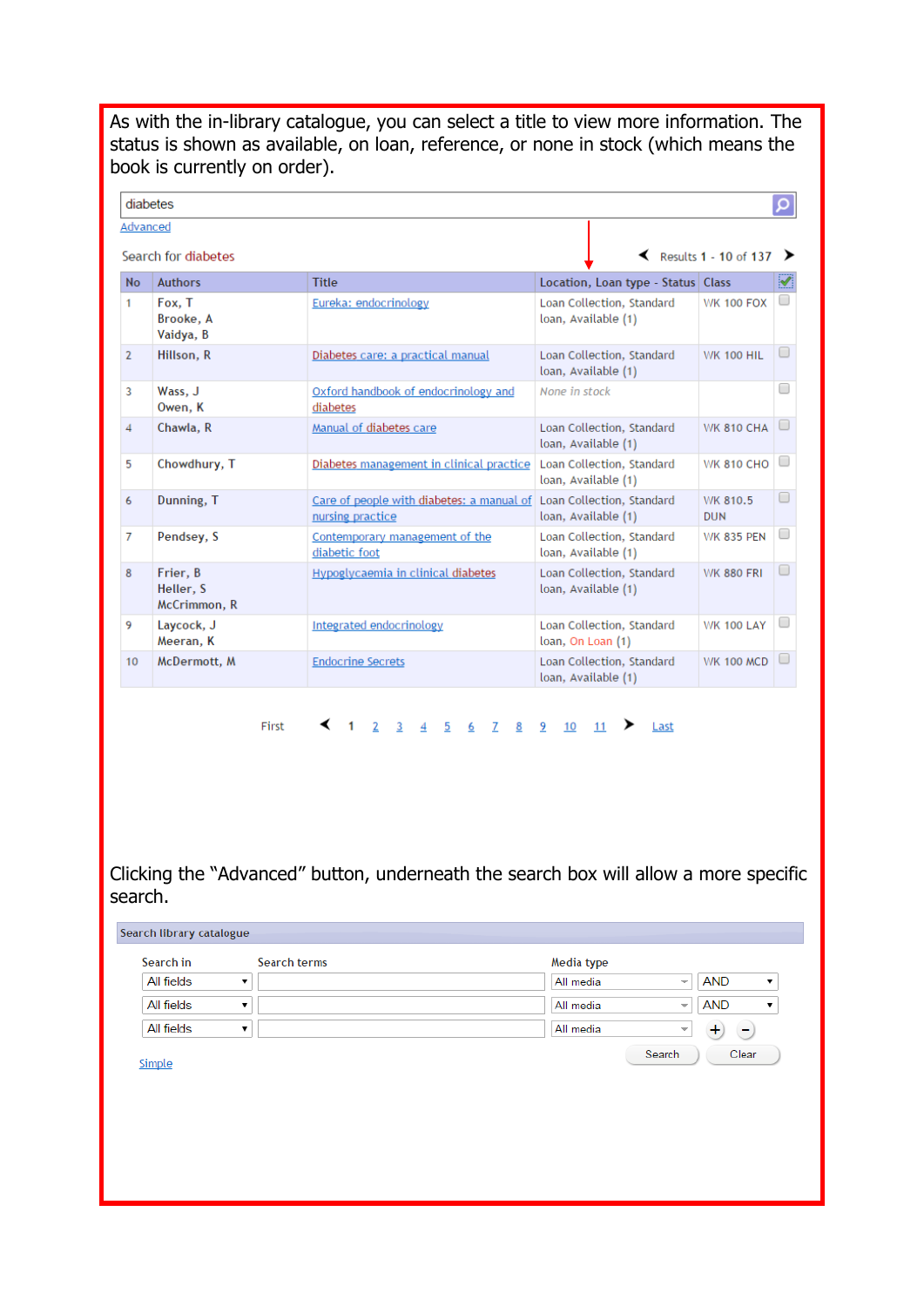As with the in-library catalogue, you can select a title to view more information. The status is shown as available, on loan, reference, or none in stock (which means the book is currently on order).

| diabetes       |                                       |                                                                                         |                                                  |                                        | Q |
|----------------|---------------------------------------|-----------------------------------------------------------------------------------------|--------------------------------------------------|----------------------------------------|---|
| Advanced       | Search for diabetes                   |                                                                                         | ≺                                                | Results 1 - 10 of 137 $\triangleright$ |   |
| <b>No</b>      | <b>Authors</b>                        | <b>Title</b>                                                                            | Location, Loan type - Status   Class             |                                        | Ø |
| 1              | Fox, T<br>Brooke, A<br>Vaidya, B      | Eureka: endocrinology                                                                   | Loan Collection, Standard<br>loan, Available (1) | <b>WK 100 FOX</b>                      |   |
| $\overline{2}$ | Hillson, R                            | Diabetes care: a practical manual                                                       | Loan Collection, Standard<br>loan, Available (1) | <b>WK 100 HIL</b>                      |   |
| 3              | Wass, J<br>Owen, K                    | Oxford handbook of endocrinology and<br>diabetes                                        | None in stock                                    |                                        |   |
| 4              | Chawla, R                             | Manual of diabetes care                                                                 | Loan Collection, Standard<br>loan, Available (1) | <b>WK 810 CHA</b>                      |   |
| 5              | Chowdhury, T                          | Diabetes management in clinical practice                                                | Loan Collection, Standard<br>loan, Available (1) | <b>WK 810 CHO</b>                      |   |
| 6              | Dunning, T                            | Care of people with diabetes: a manual of Loan Collection, Standard<br>nursing practice | loan, Available (1)                              | WK 810.5<br><b>DUN</b>                 |   |
| 7              | Pendsey, S                            | Contemporary management of the<br>diabetic foot                                         | Loan Collection, Standard<br>loan, Available (1) | <b>WK 835 PEN</b>                      |   |
| 8              | Frier, B<br>Heller, S<br>McCrimmon, R | Hypoglycaemia in clinical diabetes                                                      | Loan Collection, Standard<br>loan, Available (1) | <b>WK 880 FRI</b>                      |   |
| 9              | Laycock, J<br>Meeran, K               | Integrated endocrinology                                                                | Loan Collection, Standard<br>loan, On Loan (1)   | <b>WK 100 LAY</b>                      |   |
| 10             | McDermott, M                          | <b>Endocrine Secrets</b>                                                                | Loan Collection, Standard<br>loan, Available (1) | <b>WK 100 MCD</b>                      |   |

First < 1 2 3 4 5 6 7 8 9 10 11 > Last

Clicking the "Advanced" button, underneath the search box will allow a more specific search.

| Search in  | Search terms | Media type |                                        |
|------------|--------------|------------|----------------------------------------|
| All fields |              | All media  | <b>AND</b><br>$\overline{\phantom{a}}$ |
| All fields |              | All media  | <b>AND</b><br>$\overline{\phantom{a}}$ |
| All fields |              | All media  | $\overline{\phantom{a}}$<br>Ξ          |